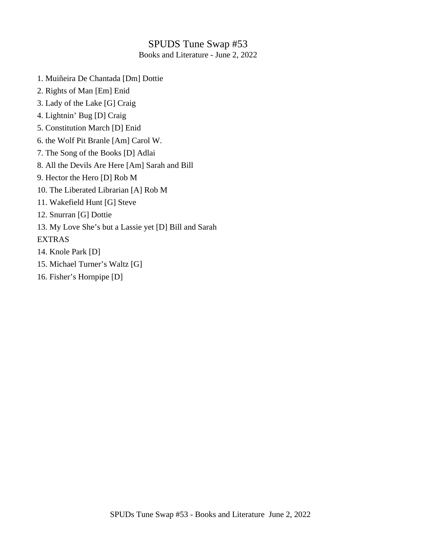## SPUDS Tune Swap #53

Books and Literature - June 2, 2022

- 1. Muiñeira De Chantada [Dm] Dottie
- 2. Rights of Man [Em] Enid
- 3. Lady of the Lake [G] Craig
- 4. Lightnin' Bug [D] Craig
- 5. Constitution March [D] Enid
- 6. the Wolf Pit Branle [Am] Carol W.
- 7. The Song of the Books [D] Adlai
- 8. All the Devils Are Here [Am] Sarah and Bill
- 9. Hector the Hero [D] Rob M
- 10. The Liberated Librarian [A] Rob M
- 11. Wakefield Hunt [G] Steve
- 12. Snurran [G] Dottie
- 13. My Love She's but a Lassie yet [D] Bill and Sarah

EXTRAS

- 14. Knole Park [D]
- 15. Michael Turner's Waltz [G]
- 16. Fisher's Hornpipe [D]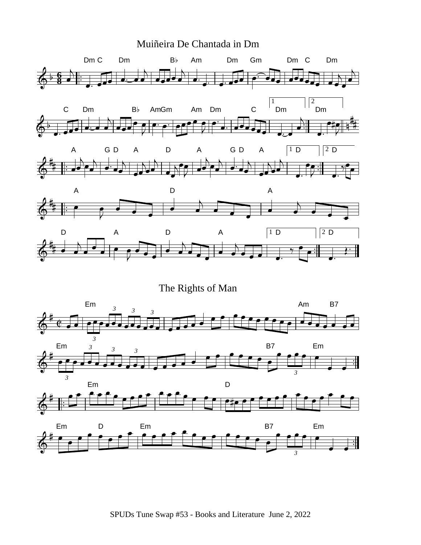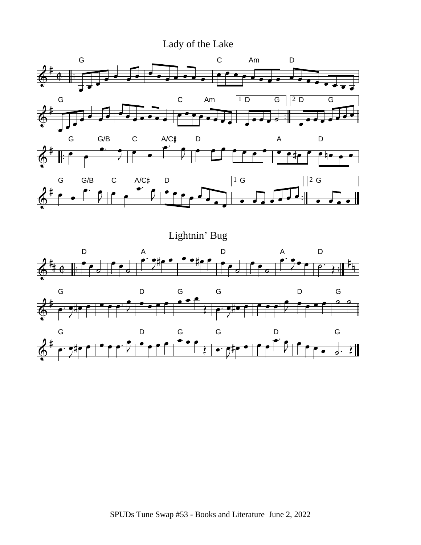

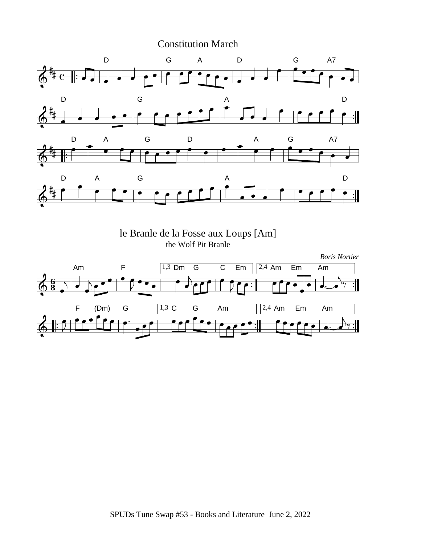Constitution March



le Branle de la Fosse aux Loups [Am] the Wolf Pit Branle

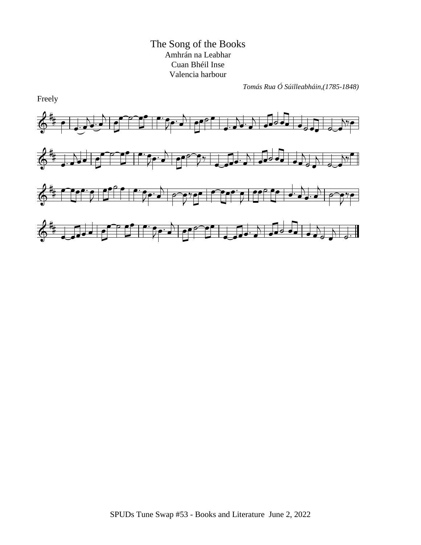The Song of the Books Amhrán na Leabhar Cuan Bhéil Inse Valencia harbour

*Tomás Rua Ó Súilleabháin,(1785-1848)*



Freely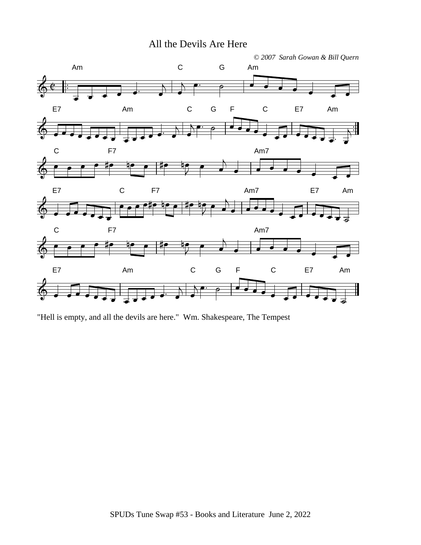All the Devils Are Here



"Hell is empty, and all the devils are here." Wm. Shakespeare, The Tempest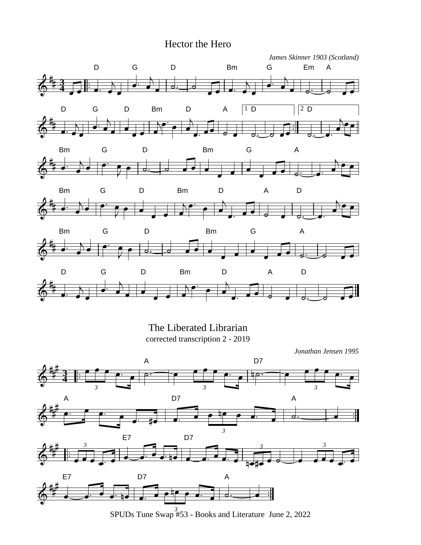## Hector the Hero



The Liberated Librarian corrected transcription 2 - 2019

*Jonathan Jensen 1995*



SPUDs Tune Swap #53 - Books and Literature June 2, 2022 *3*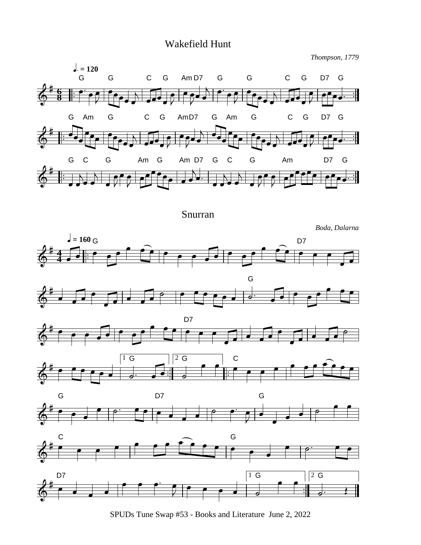## Wakefield Hunt

*Thompson, 1779*



Snurran

*Boda, Dalarna*













SPUDs Tune Swap #53 - Books and Literature June 2, 2022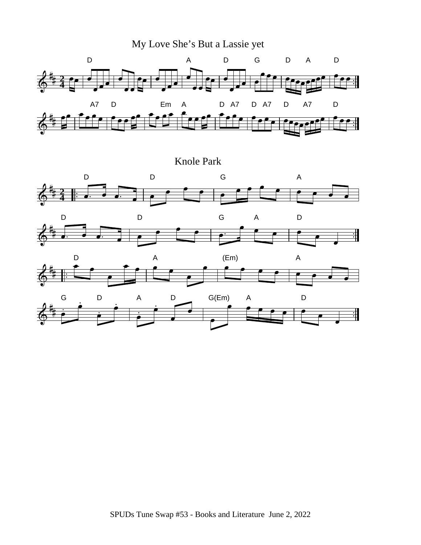My Love She's But a Lassie yet D A D G DA D **2 4** A7 D Em A D A7 D A7 D A7 D  $\div$